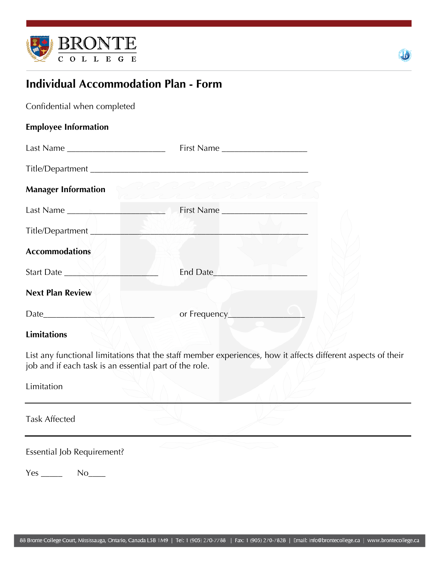



# **Individual Accommodation Plan - Form**

Confidential when completed

### **Employee Information**

|                            | First Name   |
|----------------------------|--------------|
|                            |              |
| <b>Manager Information</b> | Reconventer  |
|                            | First Name   |
| Title/Department           |              |
| <b>Accommodations</b>      |              |
| Start Date ____            | End Date     |
| <b>Next Plan Review</b>    |              |
|                            | or Frequency |

## **Limitations**

List any functional limitations that the staff member experiences, how it affects different aspects of their job and if each task is an essential part of the role.

Limitation

Task Affected

Essential Job Requirement?

Yes \_\_\_\_\_\_\_ No\_\_\_\_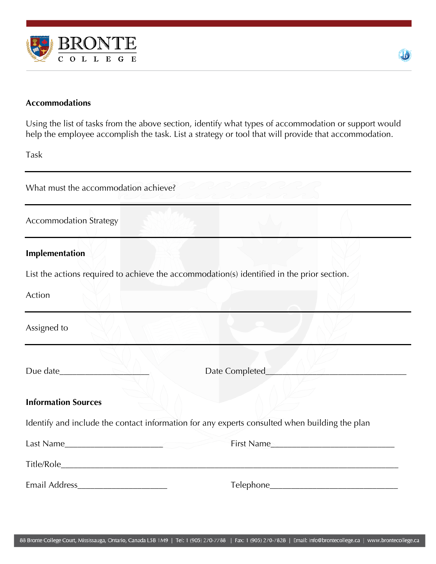



#### **Accommodations**

Using the list of tasks from the above section, identify what types of accommodation or support would help the employee accomplish the task. List a strategy or tool that will provide that accommodation.

Task

| What must the accommodation achieve?                                                                                                                                                                                           |                |
|--------------------------------------------------------------------------------------------------------------------------------------------------------------------------------------------------------------------------------|----------------|
| <b>Accommodation Strategy</b>                                                                                                                                                                                                  |                |
| Implementation                                                                                                                                                                                                                 |                |
| List the actions required to achieve the accommodation(s) identified in the prior section.                                                                                                                                     |                |
| Action                                                                                                                                                                                                                         |                |
| Assigned to                                                                                                                                                                                                                    |                |
| Due date strate strate strate strate strate strate strate strate strate strate strate strate strate strate strate strate strate strate strate strate strate strate strate strate strate strate strate strate strate strate str | Date Completed |
| <b>Information Sources</b>                                                                                                                                                                                                     |                |
| Identify and include the contact information for any experts consulted when building the plan                                                                                                                                  |                |
|                                                                                                                                                                                                                                | First Name     |
|                                                                                                                                                                                                                                |                |
| Email Address_________________________                                                                                                                                                                                         |                |